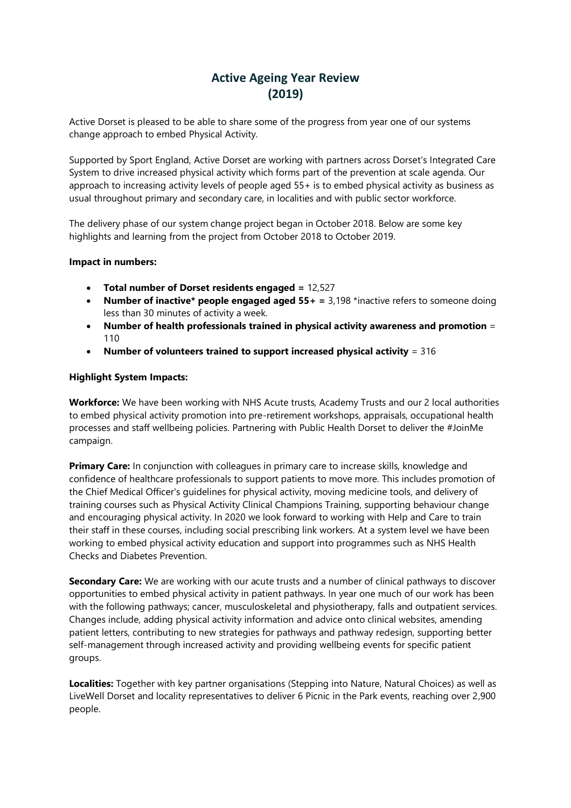# **Active Ageing Year Review (2019)**

Active Dorset is pleased to be able to share some of the progress from year one of our systems change approach to embed Physical Activity.

Supported by Sport England, Active Dorset are working with partners across Dorset's Integrated Care System to drive increased physical activity which forms part of the prevention at scale agenda. Our approach to increasing activity levels of people aged 55+ is to embed physical activity as business as usual throughout primary and secondary care, in localities and with public sector workforce.

The delivery phase of our system change project began in October 2018. Below are some key highlights and learning from the project from October 2018 to October 2019.

#### **Impact in numbers:**

- **Total number of Dorset residents engaged =** 12,527
- **Number of inactive\* people engaged aged 55+ =** 3,198 \*inactive refers to someone doing less than 30 minutes of activity a week.
- **Number of health professionals trained in physical activity awareness and promotion** = 110
- **Number of volunteers trained to support increased physical activity** = 316

#### **Highlight System Impacts:**

**Workforce:** We have been working with NHS Acute trusts, Academy Trusts and our 2 local authorities to embed physical activity promotion into pre-retirement workshops, appraisals, occupational health processes and staff wellbeing policies. Partnering with Public Health Dorset to deliver the #JoinMe campaign.

**Primary Care:** In conjunction with colleagues in primary care to increase skills, knowledge and confidence of healthcare professionals to support patients to move more. This includes promotion of the Chief Medical Officer's guidelines for physical activity, moving medicine tools, and delivery of training courses such as Physical Activity Clinical Champions Training, supporting behaviour change and encouraging physical activity. In 2020 we look forward to working with Help and Care to train their staff in these courses, including social prescribing link workers. At a system level we have been working to embed physical activity education and support into programmes such as NHS Health Checks and Diabetes Prevention.

**Secondary Care:** We are working with our acute trusts and a number of clinical pathways to discover opportunities to embed physical activity in patient pathways. In year one much of our work has been with the following pathways; cancer, musculoskeletal and physiotherapy, falls and outpatient services. Changes include, adding physical activity information and advice onto clinical websites, amending patient letters, contributing to new strategies for pathways and pathway redesign, supporting better self-management through increased activity and providing wellbeing events for specific patient groups.

**Localities:** Together with key partner organisations (Stepping into Nature, Natural Choices) as well as LiveWell Dorset and locality representatives to deliver 6 Picnic in the Park events, reaching over 2,900 people.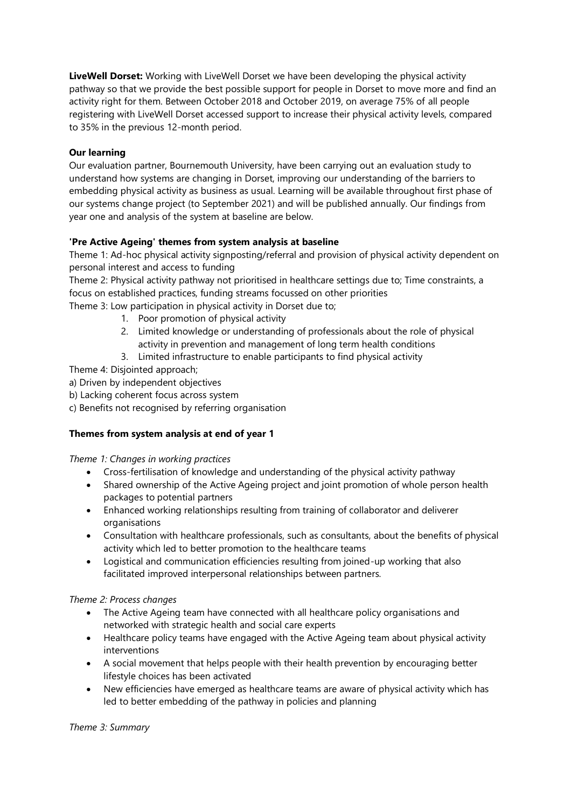**LiveWell Dorset:** Working with LiveWell Dorset we have been developing the physical activity pathway so that we provide the best possible support for people in Dorset to move more and find an activity right for them. Between October 2018 and October 2019, on average 75% of all people registering with LiveWell Dorset accessed support to increase their physical activity levels, compared to 35% in the previous 12-month period.

### **Our learning**

Our evaluation partner, Bournemouth University, have been carrying out an evaluation study to understand how systems are changing in Dorset, improving our understanding of the barriers to embedding physical activity as business as usual. Learning will be available throughout first phase of our systems change project (to September 2021) and will be published annually. Our findings from year one and analysis of the system at baseline are below.

## **'Pre Active Ageing' themes from system analysis at baseline**

Theme 1: Ad-hoc physical activity signposting/referral and provision of physical activity dependent on personal interest and access to funding

Theme 2: Physical activity pathway not prioritised in healthcare settings due to; Time constraints, a focus on established practices, funding streams focussed on other priorities

Theme 3: Low participation in physical activity in Dorset due to;

- 1. Poor promotion of physical activity
- 2. Limited knowledge or understanding of professionals about the role of physical activity in prevention and management of long term health conditions
- 3. Limited infrastructure to enable participants to find physical activity

Theme 4: Disjointed approach;

- a) Driven by independent objectives
- b) Lacking coherent focus across system
- c) Benefits not recognised by referring organisation

# **Themes from system analysis at end of year 1**

#### *Theme 1: Changes in working practices*

- Cross-fertilisation of knowledge and understanding of the physical activity pathway
- Shared ownership of the Active Ageing project and joint promotion of whole person health packages to potential partners
- Enhanced working relationships resulting from training of collaborator and deliverer organisations
- Consultation with healthcare professionals, such as consultants, about the benefits of physical activity which led to better promotion to the healthcare teams
- Logistical and communication efficiencies resulting from joined-up working that also facilitated improved interpersonal relationships between partners.

#### *Theme 2: Process changes*

- The Active Ageing team have connected with all healthcare policy organisations and networked with strategic health and social care experts
- Healthcare policy teams have engaged with the Active Ageing team about physical activity interventions
- A social movement that helps people with their health prevention by encouraging better lifestyle choices has been activated
- New efficiencies have emerged as healthcare teams are aware of physical activity which has led to better embedding of the pathway in policies and planning

*Theme 3: Summary*